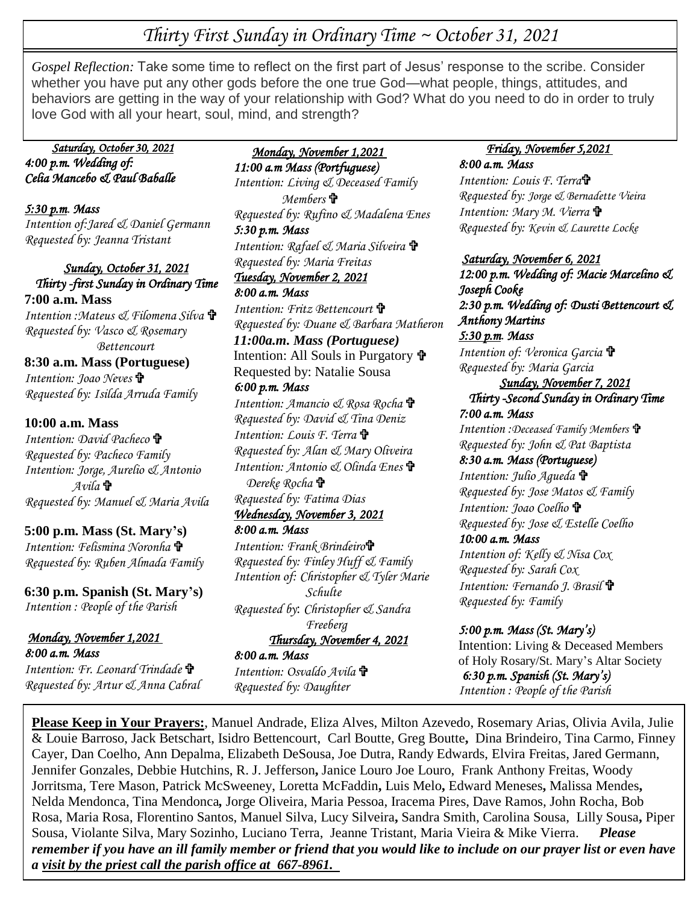# *Thirty First Sunday in Ordinary Time ~ October 31, 2021*

**+**  *Gospel Reflection:* Take some time to reflect on the first part of Jesus' response to the scribe. Consider  love God with all your heart, soul, mind, and strength?whether you have put any other gods before the one true God—what people, things, attitudes, and behaviors are getting in the way of your relationship with God? What do you need to do in order to truly

#### *Saturday, October 30, 2021 4:00 p.m. Wedding of: Celia Mancebo & Paul Baballe*

#### *5:30 p.m. Mass Intention of:Jared & Daniel Germann Requested by: Jeanna Tristant*

*Sunday, October 31, 2021 Thirty -first Sunday in Ordinary Time*  **7:00 a.m. Mass** *Intention :Mateus & Filomena Silva Requested by: Vasco & Rosemary Bettencourt*

# **8:30 a.m. Mass (Portuguese)** *Intention: Joao Neves*

*Requested by: Isilda Arruda Family*

## **10:00 a.m. Mass**

*Intention: David Pacheco Requested by: Pacheco Family Intention: Jorge, Aurelio & Antonio Avila Requested by: Manuel & Maria Avila*

# **5:00 p.m. Mass (St. Mary's)**

*Intention: Felismina Noronha Requested by: Ruben Almada Family* 

#### **6:30 p.m. Spanish (St. Mary's)** *Intention : People of the Parish*

#### *Monday, November 1,2021 8:00 a.m. Mass*

*Intention: Fr. Leonard Trindade Requested by: Artur & Anna Cabral*

 *Monday, November 1,2021 11:00 a.m Mass (Portfuguese) Intention: Living & Deceased Family Members Requested by: Rufino & Madalena Enes 5:30 p.m. Mass Intention: Rafael & Maria Silveira Requested by: Maria Freitas Tuesday, November 2, 2021 8:00 a.m. Mass Intention: Fritz Bettencourt Requested by: Duane & Barbara Matheron 11:00a.m. Mass (Portuguese)* Intention: All Souls in Purgatory Requested by: Natalie Sousa *6:00 p.m. Mass Intention: Amancio & Rosa Rocha Requested by: David & Tina Deniz Intention: Louis F. Terra Requested by: Alan & Mary Oliveira Intention: Antonio & Olinda Enes Dereke Rocha Requested by: Fatima Dias Wednesday, November 3, 2021 8:00 a.m. Mass* 

*Intention: Frank Brindeiro Requested by: Finley Huff & Family Intention of: Christopher & Tyler Marie Schulte Requested by*: *Christopher & Sandra Freeberg Thursday, November 4, 2021* 

*10:00 a.m. Rosary/Funeral for*

#### *8:00 a.m. Mass Intention: Osvaldo Avila Requested by: Daughter*

#### *Friday, November 5,2021 8:00 a.m. Mass*

*Intention: Louis F. Terra Requested by: Jorge & Bernadette Vieira Intention: Mary M. Vierra Requested by: Kevin & Laurette Locke*

## *Saturday, November 6, 2021*

*12:00 p.m. Wedding of: Macie Marcelino & Joseph Cooke 2:30 p.m. Wedding of: Dusti Bettencourt & Anthony Martins 5:30 p.m. Mass Intention of: Veronica Garcia Requested by: Maria Garcia Sunday, November 7, 2021 Thirty -Second Sunday in Ordinary Time 7:00 a.m. Mass Intention :Deceased Family Members Requested by: John & Pat Baptista 8:30 a.m. Mass (Portuguese) Intention: Julio Agueda Requested by: Jose Matos & Family Intention: Joao Coelho Requested by: Jose & Estelle Coelho 10:00 a.m. Mass Intention of: Kelly & Nisa Cox Requested by: Sarah Cox Intention: Fernando J. Brasil Requested by: Family*

## *5:00 p.m. Mass (St. Mary's)*

Intention: Living & Deceased Members of Holy Rosary/St. Mary's Altar Society *6:30 p.m. Spanish (St. Mary's) Intention : People of the Parish* 

 *Mendoza* **Please Keep in Your Prayers:**, Manuel Andrade, Eliza Alves, Milton Azevedo, Rosemary Arias, Olivia Avila, Julie *Friday, November 5, 2021*  Jennifer Gonzales, Debbie Hutchins, R. J. Jefferson**,** Janice Louro Joe Louro, Frank Anthony Freitas, Woody *8:00 a.m. Mass*  Jorritsma, Tere Mason, Patrick McSweeney, Loretta McFaddin**,** Luis Melo**,** Edward Meneses**,** Malissa Mendes**,** Nelda Mendonca, Tina Mendonca, Jorge Oliveira, Maria Pessoa, Iracema Pires, Dave Ramos, John Rocha, Bob Requested by: Rosa, Maria Rosa, Florentino Santos, Manuel Silva, Lucy Silveira**,** Sandra Smith, Carolina Sousa, Lilly Sousa**,** Piper  Sousa, Violante Silva, Mary Sozinho, Luciano Terra, Jeanne Tristant, Maria Vieira & Mike Vierra. *Please*  & Louie Barroso, Jack Betschart, Isidro Bettencourt, Carl Boutte, Greg Boutte**,** Dina Brindeiro, Tina Carmo, Finney Cayer, Dan Coelho, Ann Depalma, Elizabeth DeSousa, Joe Dutra, Randy Edwards, Elvira Freitas, Jared Germann, *remember if you have an ill family member or friend that you would like to include on our prayer list or even have a visit by the priest call the parish office at 667-8961.*